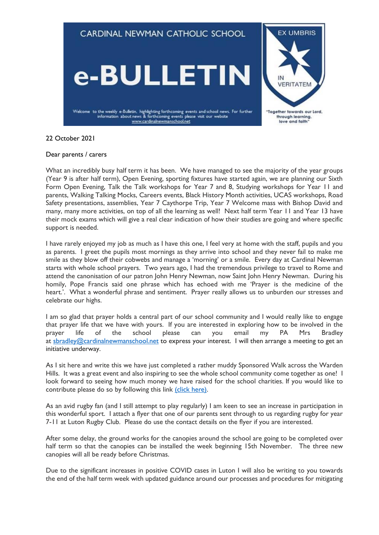

# 22 October 2021

## Dear parents / carers

What an incredibly busy half term it has been. We have managed to see the majority of the year groups (Year 9 is after half term), Open Evening, sporting fixtures have started again, we are planning our Sixth Form Open Evening, Talk the Talk workshops for Year 7 and 8, Studying workshops for Year 11 and parents, Walking Talking Mocks, Careers events, Black History Month activities, UCAS workshops, Road Safety presentations, assemblies, Year 7 Caythorpe Trip, Year 7 Welcome mass with Bishop David and many, many more activities, on top of all the learning as well! Next half term Year 11 and Year 13 have their mock exams which will give a real clear indication of how their studies are going and where specific support is needed.

I have rarely enjoyed my job as much as I have this one, I feel very at home with the staff, pupils and you as parents. I greet the pupils most mornings as they arrive into school and they never fail to make me smile as they blow off their cobwebs and manage a 'morning' or a smile. Every day at Cardinal Newman starts with whole school prayers. Two years ago, I had the tremendous privilege to travel to Rome and attend the canonisation of our patron John Henry Newman, now Saint John Henry Newman. During his homily, Pope Francis said one phrase which has echoed with me 'Prayer is the medicine of the heart.'. What a wonderful phrase and sentiment. Prayer really allows us to unburden our stresses and celebrate our highs.

I am so glad that prayer holds a central part of our school community and I would really like to engage that prayer life that we have with yours. If you are interested in exploring how to be involved in the prayer life of the school please can you email my PA Mrs Bradley at [sbradley@cardinalnewmanschool.net](mailto:sbradley@cardinalnewmanschool.net) to express your interest. I will then arrange a meeting to get an initiative underway.

As I sit here and write this we have just completed a rather muddy Sponsored Walk across the Warden Hills. It was a great event and also inspiring to see the whole school community come together as one! I look forward to seeing how much money we have raised for the school charities. If you would like to contribute please do so by following this link [\(click here\).](https://www.justgiving.com/crowdfunding/cnssponsoredwalk2021?utm_term=vyngKdjBM)

As an avid rugby fan (and I still attempt to play regularly) I am keen to see an increase in participation in this wonderful sport. I attach a flyer that one of our parents sent through to us regarding rugby for year 7-11 at Luton Rugby Club. Please do use the contact details on the flyer if you are interested.

After some delay, the ground works for the canopies around the school are going to be completed over half term so that the canopies can be installed the week beginning 15th November. The three new canopies will all be ready before Christmas.

Due to the significant increases in positive COVID cases in Luton I will also be writing to you towards the end of the half term week with updated guidance around our processes and procedures for mitigating